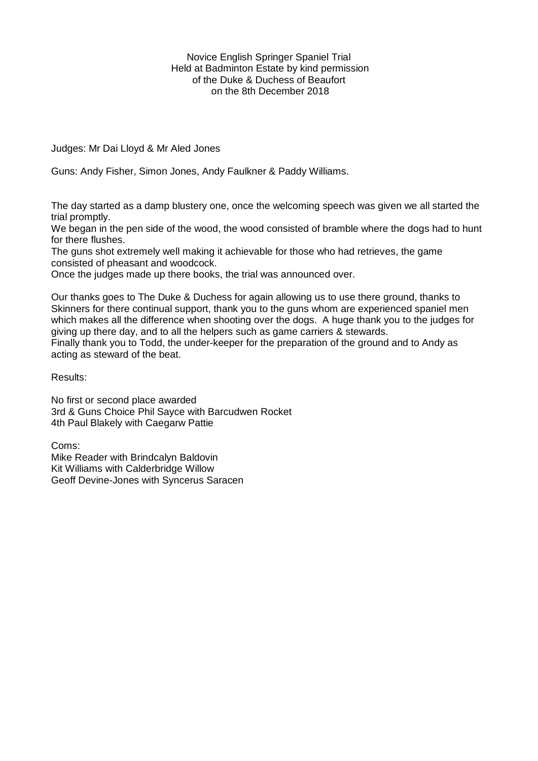Novice English Springer Spaniel Trial Held at Badminton Estate by kind permission of the Duke & Duchess of Beaufort on the 8th December 2018

Judges: Mr Dai Lloyd & Mr Aled Jones

Guns: Andy Fisher, Simon Jones, Andy Faulkner & Paddy Williams.

The day started as a damp blustery one, once the welcoming speech was given we all started the trial promptly.

We began in the pen side of the wood, the wood consisted of bramble where the dogs had to hunt for there flushes.

The guns shot extremely well making it achievable for those who had retrieves, the game consisted of pheasant and woodcock.

Once the judges made up there books, the trial was announced over.

Our thanks goes to The Duke & Duchess for again allowing us to use there ground, thanks to Skinners for there continual support, thank you to the guns whom are experienced spaniel men which makes all the difference when shooting over the dogs. A huge thank you to the judges for giving up there day, and to all the helpers such as game carriers & stewards.

Finally thank you to Todd, the under-keeper for the preparation of the ground and to Andy as acting as steward of the beat.

Results:

No first or second place awarded 3rd & Guns Choice Phil Sayce with Barcudwen Rocket 4th Paul Blakely with Caegarw Pattie

Coms: Mike Reader with Brindcalyn Baldovin Kit Williams with Calderbridge Willow Geoff Devine-Jones with Syncerus Saracen